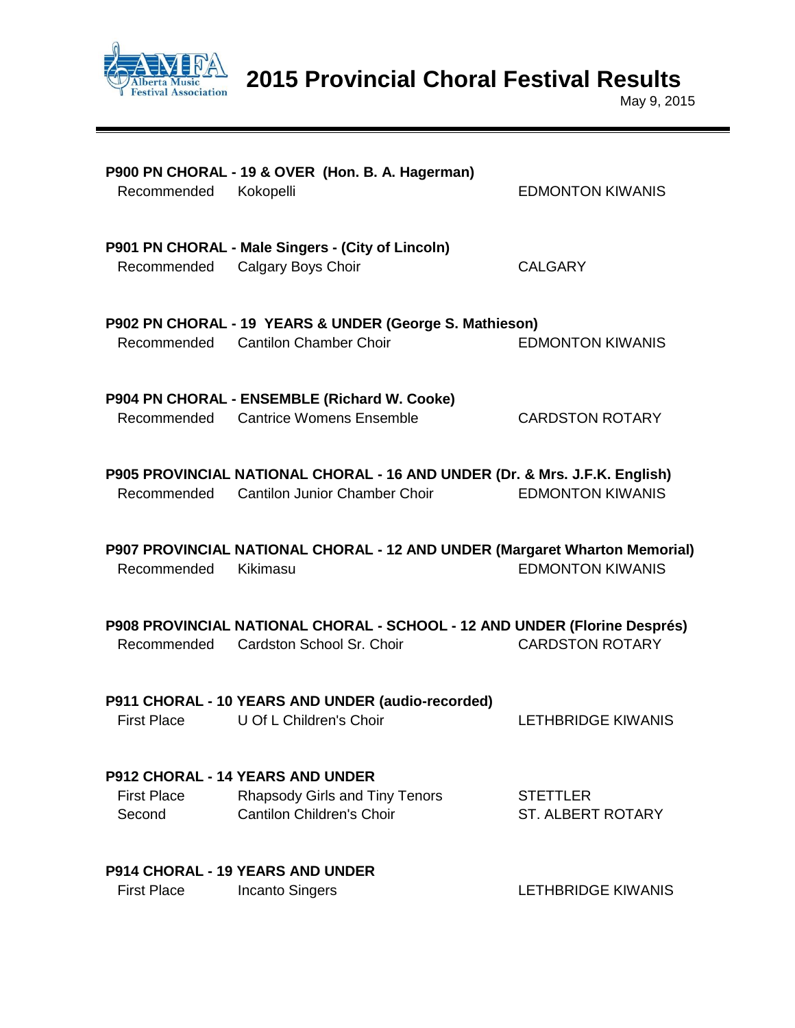

**2015 Provincial Choral Festival Results**

May 9, 2015

| Recommended Kokopelli        | P900 PN CHORAL - 19 & OVER (Hon. B. A. Hagerman)                                                                        | <b>EDMONTON KIWANIS</b>                     |
|------------------------------|-------------------------------------------------------------------------------------------------------------------------|---------------------------------------------|
| Recommended                  | P901 PN CHORAL - Male Singers - (City of Lincoln)<br>Calgary Boys Choir                                                 | <b>CALGARY</b>                              |
|                              | P902 PN CHORAL - 19 YEARS & UNDER (George S. Mathieson)<br>Recommended Cantilon Chamber Choir                           | <b>EDMONTON KIWANIS</b>                     |
|                              | P904 PN CHORAL - ENSEMBLE (Richard W. Cooke)<br>Recommended Cantrice Womens Ensemble                                    | <b>CARDSTON ROTARY</b>                      |
|                              | P905 PROVINCIAL NATIONAL CHORAL - 16 AND UNDER (Dr. & Mrs. J.F.K. English)<br>Recommended Cantilon Junior Chamber Choir | <b>EDMONTON KIWANIS</b>                     |
| Recommended                  | P907 PROVINCIAL NATIONAL CHORAL - 12 AND UNDER (Margaret Wharton Memorial)<br>Kikimasu                                  | <b>EDMONTON KIWANIS</b>                     |
|                              | P908 PROVINCIAL NATIONAL CHORAL - SCHOOL - 12 AND UNDER (Florine Després)<br>Recommended Cardston School Sr. Choir      | <b>CARDSTON ROTARY</b>                      |
| <b>First Place</b>           | P911 CHORAL - 10 YEARS AND UNDER (audio-recorded)<br>U Of L Children's Choir                                            | <b>LETHBRIDGE KIWANIS</b>                   |
| <b>First Place</b><br>Second | <b>P912 CHORAL - 14 YEARS AND UNDER</b><br><b>Rhapsody Girls and Tiny Tenors</b><br><b>Cantilon Children's Choir</b>    | <b>STETTLER</b><br><b>ST. ALBERT ROTARY</b> |
| <b>First Place</b>           | <b>P914 CHORAL - 19 YEARS AND UNDER</b><br><b>Incanto Singers</b>                                                       | <b>LETHBRIDGE KIWANIS</b>                   |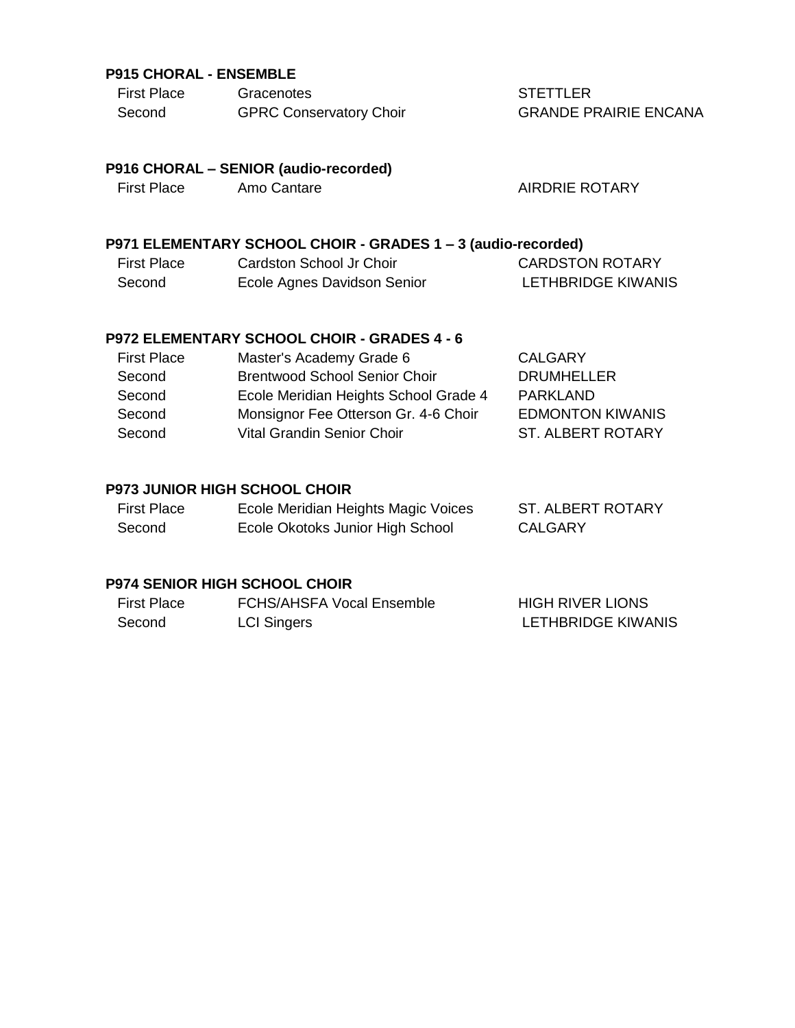## **P915 CHORAL - ENSEMBLE**

| <b>First Place</b> | Gracenotes                     |
|--------------------|--------------------------------|
| Second             | <b>GPRC Conservatory Choir</b> |

**STETTLER** GRANDE PRAIRIE ENCANA

# **P916 CHORAL – SENIOR (audio-recorded)**

## First Place Amo Cantare AIRDRIE ROTARY

## **P971 ELEMENTARY SCHOOL CHOIR - GRADES 1 – 3 (audio-recorded)**

| First Place | Cardston School Jr Choir    | <b>CARDSTON ROTARY</b> |
|-------------|-----------------------------|------------------------|
| Second      | Ecole Agnes Davidson Senior | LETHBRIDGE KIWANIS     |

## **P972 ELEMENTARY SCHOOL CHOIR - GRADES 4 - 6**

| <b>First Place</b> | Master's Academy Grade 6              | <b>CALGARY</b>           |
|--------------------|---------------------------------------|--------------------------|
| Second             | <b>Brentwood School Senior Choir</b>  | <b>DRUMHELLER</b>        |
| Second             | Ecole Meridian Heights School Grade 4 | PARKLAND                 |
| Second             | Monsignor Fee Otterson Gr. 4-6 Choir  | <b>EDMONTON KIWANIS</b>  |
| Second             | Vital Grandin Senior Choir            | <b>ST. ALBERT ROTARY</b> |
|                    |                                       |                          |

## **P973 JUNIOR HIGH SCHOOL CHOIR**

| <b>First Place</b> | Ecole Meridian Heights Magic Voices | <b>ST. ALBERT ROTARY</b> |
|--------------------|-------------------------------------|--------------------------|
| Second             | Ecole Okotoks Junior High School    | <b>CALGARY</b>           |

### **P974 SENIOR HIGH SCHOOL CHOIR**

| First Place | FCHS/AHSFA Vocal Ensemble | <b>HIGH RIVER LIONS</b>   |
|-------------|---------------------------|---------------------------|
| Second      | <b>LCI Singers</b>        | <b>LETHBRIDGE KIWANIS</b> |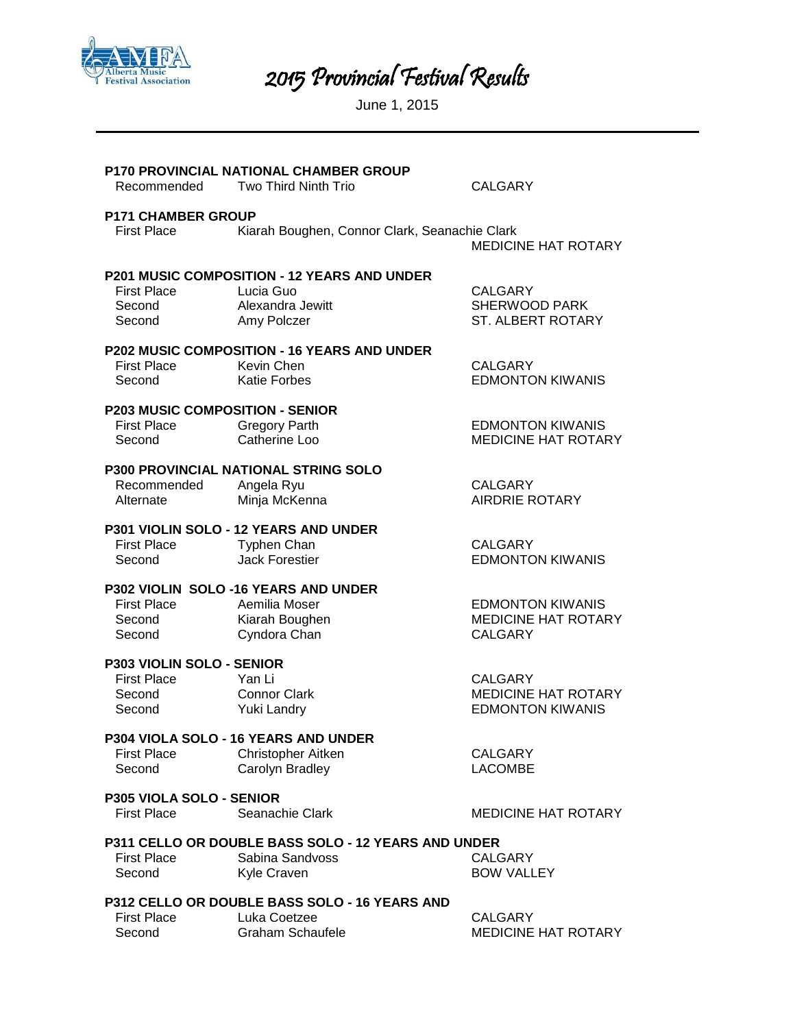

2015 Provincial Festival Results

June 1, 2015

| Recommended                                         | <b>P170 PROVINCIAL NATIONAL CHAMBER GROUP</b><br>Two Third Ninth Trio | <b>CALGARY</b>                                              |
|-----------------------------------------------------|-----------------------------------------------------------------------|-------------------------------------------------------------|
| <b>P171 CHAMBER GROUP</b>                           |                                                                       |                                                             |
| <b>First Place</b>                                  | Kiarah Boughen, Connor Clark, Seanachie Clark                         | <b>MEDICINE HAT ROTARY</b>                                  |
|                                                     | <b>P201 MUSIC COMPOSITION - 12 YEARS AND UNDER</b>                    |                                                             |
| <b>First Place</b><br>Second<br>Second              | Lucia Guo<br>Alexandra Jewitt<br>Amy Polczer                          | <b>CALGARY</b><br><b>SHERWOOD PARK</b><br>ST. ALBERT ROTARY |
|                                                     | <b>P202 MUSIC COMPOSITION - 16 YEARS AND UNDER</b>                    |                                                             |
| <b>First Place</b><br>Second                        | Kevin Chen<br><b>Katie Forbes</b>                                     | <b>CALGARY</b><br><b>EDMONTON KIWANIS</b>                   |
| <b>P203 MUSIC COMPOSITION - SENIOR</b>              |                                                                       |                                                             |
| First Place<br>Second                               | <b>Gregory Parth</b><br>Catherine Loo                                 | <b>EDMONTON KIWANIS</b><br><b>MEDICINE HAT ROTARY</b>       |
|                                                     | <b>P300 PROVINCIAL NATIONAL STRING SOLO</b>                           |                                                             |
| Recommended<br>Alternate                            | Angela Ryu<br>Minja McKenna                                           | CALGARY<br><b>AIRDRIE ROTARY</b>                            |
|                                                     | P301 VIOLIN SOLO - 12 YEARS AND UNDER                                 |                                                             |
| <b>First Place</b><br>Second                        | <b>Typhen Chan</b><br><b>Jack Forestier</b>                           | <b>CALGARY</b><br><b>EDMONTON KIWANIS</b>                   |
|                                                     | P302 VIOLIN SOLO -16 YEARS AND UNDER                                  |                                                             |
| <b>First Place</b>                                  | Aemilia Moser                                                         | <b>EDMONTON KIWANIS</b>                                     |
| Second<br>Second                                    | Kiarah Boughen<br>Cyndora Chan                                        | <b>MEDICINE HAT ROTARY</b><br><b>CALGARY</b>                |
| P303 VIOLIN SOLO - SENIOR                           |                                                                       |                                                             |
| <b>First Place</b>                                  | Yan Li                                                                | <b>CALGARY</b>                                              |
| Second<br>Second                                    | <b>Connor Clark</b><br>Yuki Landry                                    | MEDICINE HAT ROTARY<br><b>EDMONTON KIWANIS</b>              |
|                                                     | P304 VIOLA SOLO - 16 YEARS AND UNDER                                  |                                                             |
| <b>First Place</b>                                  | Christopher Aitken                                                    | <b>CALGARY</b>                                              |
| Second                                              | Carolyn Bradley                                                       | <b>LACOMBE</b>                                              |
| <b>P305 VIOLA SOLO - SENIOR</b>                     |                                                                       |                                                             |
| <b>First Place</b>                                  | Seanachie Clark                                                       | <b>MEDICINE HAT ROTARY</b>                                  |
| P311 CELLO OR DOUBLE BASS SOLO - 12 YEARS AND UNDER |                                                                       |                                                             |
| <b>First Place</b>                                  | Sabina Sandvoss                                                       | <b>CALGARY</b>                                              |
| Second                                              | Kyle Craven                                                           | <b>BOW VALLEY</b>                                           |
| P312 CELLO OR DOUBLE BASS SOLO - 16 YEARS AND       |                                                                       |                                                             |

First Place Luka Coetzee CALGARY Second Graham Schaufele MEDICINE HAT ROTARY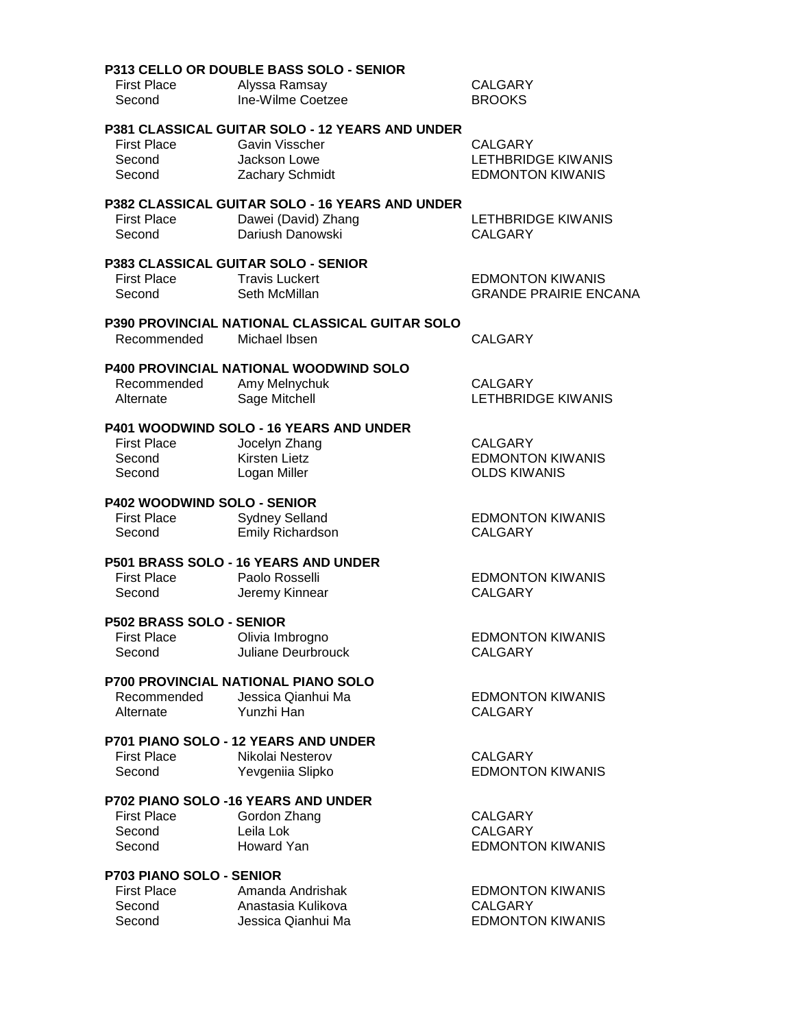|                                                                           | P313 CELLO OR DOUBLE BASS SOLO - SENIOR                                                                     |                                                                      |
|---------------------------------------------------------------------------|-------------------------------------------------------------------------------------------------------------|----------------------------------------------------------------------|
| <b>First Place</b><br>Second                                              | Alyssa Ramsay<br>Ine-Wilme Coetzee                                                                          | <b>CALGARY</b><br><b>BROOKS</b>                                      |
| <b>First Place</b><br>Second<br>Second                                    | P381 CLASSICAL GUITAR SOLO - 12 YEARS AND UNDER<br><b>Gavin Visscher</b><br>Jackson Lowe<br>Zachary Schmidt | <b>CALGARY</b><br>LETHBRIDGE KIWANIS<br><b>EDMONTON KIWANIS</b>      |
| <b>First Place</b><br>Second                                              | P382 CLASSICAL GUITAR SOLO - 16 YEARS AND UNDER<br>Dawei (David) Zhang<br>Dariush Danowski                  | LETHBRIDGE KIWANIS<br><b>CALGARY</b>                                 |
| <b>First Place</b><br>Second                                              | P383 CLASSICAL GUITAR SOLO - SENIOR<br><b>Travis Luckert</b><br>Seth McMillan                               | <b>EDMONTON KIWANIS</b><br><b>GRANDE PRAIRIE ENCANA</b>              |
| Recommended                                                               | <b>P390 PROVINCIAL NATIONAL CLASSICAL GUITAR SOLO</b><br>Michael Ibsen                                      | <b>CALGARY</b>                                                       |
| Recommended<br>Alternate                                                  | P400 PROVINCIAL NATIONAL WOODWIND SOLO<br>Amy Melnychuk<br>Sage Mitchell                                    | <b>CALGARY</b><br><b>LETHBRIDGE KIWANIS</b>                          |
| <b>First Place</b><br>Second<br>Second                                    | P401 WOODWIND SOLO - 16 YEARS AND UNDER<br>Jocelyn Zhang<br>Kirsten Lietz<br>Logan Miller                   | <b>CALGARY</b><br><b>EDMONTON KIWANIS</b><br><b>OLDS KIWANIS</b>     |
| <b>First Place</b><br>Second                                              | P402 WOODWIND SOLO - SENIOR<br><b>Sydney Selland</b><br>Emily Richardson                                    | <b>EDMONTON KIWANIS</b><br><b>CALGARY</b>                            |
| <b>First Place</b><br>Second                                              | P501 BRASS SOLO - 16 YEARS AND UNDER<br>Paolo Rosselli<br>Jeremy Kinnear                                    | <b>EDMONTON KIWANIS</b><br><b>CALGARY</b>                            |
| P502 BRASS SOLO - SENIOR<br><b>First Place</b><br>Second                  | Olivia Imbrogno<br><b>Juliane Deurbrouck</b>                                                                | <b>EDMONTON KIWANIS</b><br><b>CALGARY</b>                            |
| Recommended<br>Alternate                                                  | <b>P700 PROVINCIAL NATIONAL PIANO SOLO</b><br>Jessica Qianhui Ma<br>Yunzhi Han                              | <b>EDMONTON KIWANIS</b><br><b>CALGARY</b>                            |
| <b>First Place</b><br>Second                                              | <b>P701 PIANO SOLO - 12 YEARS AND UNDER</b><br>Nikolai Nesterov<br>Yevgeniia Slipko                         | <b>CALGARY</b><br><b>EDMONTON KIWANIS</b>                            |
| <b>First Place</b><br>Second<br>Second                                    | <b>P702 PIANO SOLO -16 YEARS AND UNDER</b><br>Gordon Zhang<br>Leila Lok<br>Howard Yan                       | <b>CALGARY</b><br><b>CALGARY</b><br><b>EDMONTON KIWANIS</b>          |
| <b>P703 PIANO SOLO - SENIOR</b><br><b>First Place</b><br>Second<br>Second | Amanda Andrishak<br>Anastasia Kulikova<br>Jessica Qianhui Ma                                                | <b>EDMONTON KIWANIS</b><br><b>CALGARY</b><br><b>EDMONTON KIWANIS</b> |
|                                                                           |                                                                                                             |                                                                      |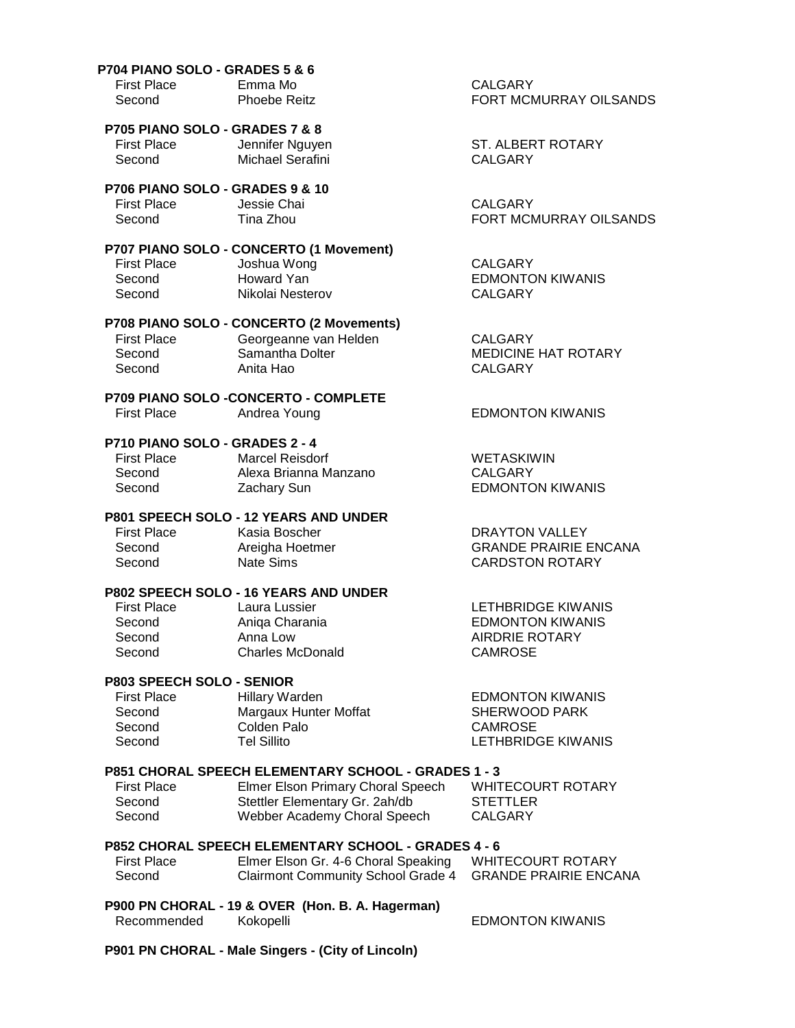#### **P704 PIANO SOLO - GRADES 5 & 6**

| <b>First Place</b> | Emma Mo   |
|--------------------|-----------|
| Second             | Phoebe Re |

### **P705 PIANO SOLO - GRADES 7 & 8**

First Place **Jennifer Nguyen** ST. ALBERT ROTARY Second Michael Serafini CALGARY

 **P706 PIANO SOLO - GRADES 9 & 10** First Place **Jessie Chai CALGARY** Second Tina Zhou **FIND SECONDER THE SECOND FORT MCMURRAY OILSANDS** 

### **P707 PIANO SOLO - CONCERTO (1 Movement)**

 First Place Joshua Wong CALGARY Second Nikolai Nesterov CALGARY

## **P708 PIANO SOLO - CONCERTO (2 Movements)**

|                    | <b>THE INDIANAL SOLUTION OF STATISTIC INTERNATIONAL STATISTICS</b> |                            |
|--------------------|--------------------------------------------------------------------|----------------------------|
| <b>First Place</b> | Georgeanne van Helden                                              | CALGARY                    |
| Second             | Samantha Dolter                                                    | <b>MEDICINE HAT ROTARY</b> |
| Second             | Anita Hao                                                          | CALGARY                    |
|                    |                                                                    |                            |

#### **P709 PIANO SOLO -CONCERTO - COMPLETE** Andrea Young **EDMONTON KIWANIS**

### **P710 PIANO SOLO - GRADES 2 - 4**

| <b>First Place</b> | Marcel Reisdorf       | <b>WETASKIWIN</b>       |
|--------------------|-----------------------|-------------------------|
| Second             | Alexa Brianna Manzano | CALGARY                 |
| Second             | Zachary Sun           | <b>EDMONTON KIWANIS</b> |

#### **P801 SPEECH SOLO - 12 YEARS AND UNDER**

First Place Kasia Boscher Christ Contract Contract Place Christ Contract Contract Christ Christ Christ Christ C Second **Areigha Hoetmer** GRANDE PRAIRIE ENCANA Second Nate Sims CARDSTON ROTARY

### **P802 SPEECH SOLO - 16 YEARS AND UNDER**

| <b>First Place</b> | Laura Lussier    | LETHBRIDGE KIWANIS      |
|--------------------|------------------|-------------------------|
| Second             | Aniga Charania   | <b>EDMONTON KIWANIS</b> |
| Second             | Anna Low         | AIRDRIE ROTARY          |
| Second             | Charles McDonald | CAMROSE                 |
|                    |                  |                         |

#### **P803 SPEECH SOLO - SENIOR**

| <b>First Place</b><br>Second | Hillary Warden<br>Margaux Hunter Moffat | <b>EDMONTON KIWANIS</b><br>SHERWOOD PARK |
|------------------------------|-----------------------------------------|------------------------------------------|
| Second                       | Colden Palo                             | CAMROSE                                  |
| Second                       | Tel Sillito                             | LETHBRIDGE KIWANIS                       |

#### **P851 CHORAL SPEECH ELEMENTARY SCHOOL - GRADES 1 - 3**

| <b>First Place</b> | Elmer Elson Primary Choral Speech | <b>WHITECOURT ROTARY</b> |
|--------------------|-----------------------------------|--------------------------|
| Second             | Stettler Elementary Gr. 2ah/db    | STETTLER                 |
| Second             | Webber Academy Choral Speech      | CALGARY                  |

#### **P852 CHORAL SPEECH ELEMENTARY SCHOOL - GRADES 4 - 6**

| <b>First Place</b> | Elmer Elson Gr. 4-6 Choral Speaking                      | WHITECOURT ROTARY |
|--------------------|----------------------------------------------------------|-------------------|
| Second             | Clairmont Community School Grade 4 GRANDE PRAIRIE ENCANA |                   |

### **P900 PN CHORAL - 19 & OVER (Hon. B. A. Hagerman)**

Recommended Kokopelli **EDMONTON KIWANIS** 

 **P901 PN CHORAL - Male Singers - (City of Lincoln)**

**CALGARY** PHOEBE REIT FORT MCMURRAY OILSANDS

Second Howard Yan **EDMONTON KIWANIS**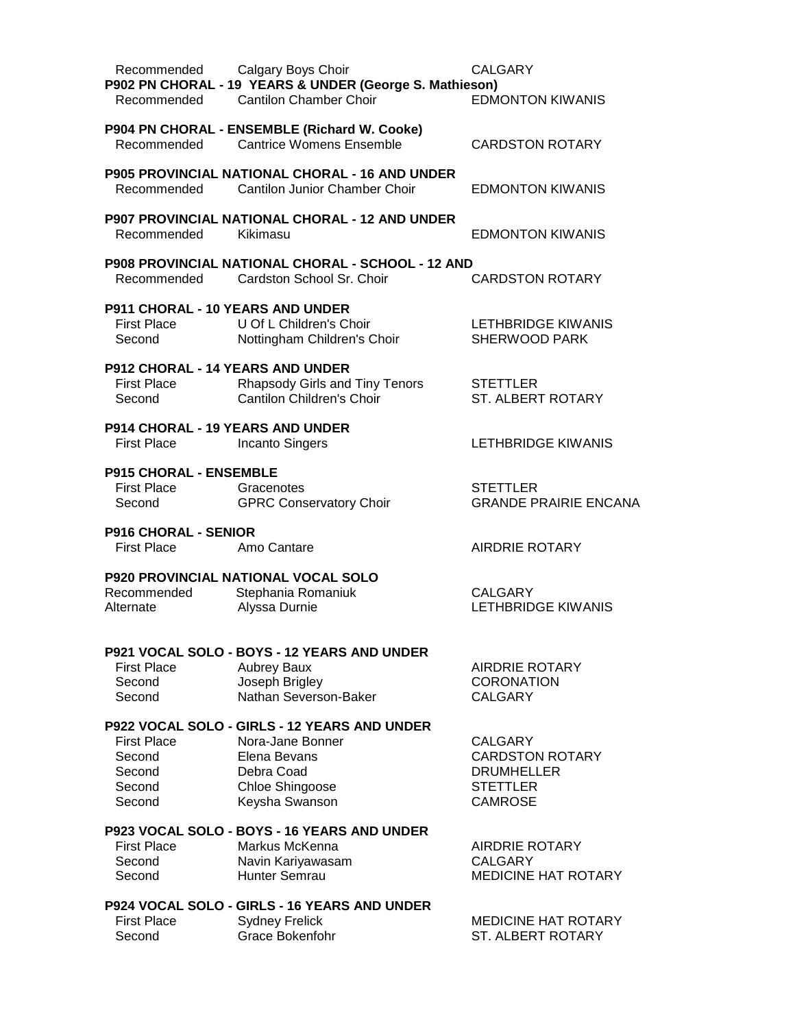| Recommended                             | Calgary Boys Choir<br>P902 PN CHORAL - 19 YEARS & UNDER (George S. Mathieson)          | <b>CALGARY</b>                                  |
|-----------------------------------------|----------------------------------------------------------------------------------------|-------------------------------------------------|
| Recommended                             | <b>Cantilon Chamber Choir</b>                                                          | <b>EDMONTON KIWANIS</b>                         |
|                                         | P904 PN CHORAL - ENSEMBLE (Richard W. Cooke)                                           |                                                 |
| Recommended                             | <b>Cantrice Womens Ensemble</b>                                                        | <b>CARDSTON ROTARY</b>                          |
| Recommended                             | <b>P905 PROVINCIAL NATIONAL CHORAL - 16 AND UNDER</b><br>Cantilon Junior Chamber Choir | <b>EDMONTON KIWANIS</b>                         |
| Recommended                             | <b>P907 PROVINCIAL NATIONAL CHORAL - 12 AND UNDER</b><br>Kikimasu                      | <b>EDMONTON KIWANIS</b>                         |
| Recommended                             | <b>P908 PROVINCIAL NATIONAL CHORAL - SCHOOL - 12 AND</b><br>Cardston School Sr. Choir  | <b>CARDSTON ROTARY</b>                          |
| <b>P911 CHORAL - 10 YEARS AND UNDER</b> |                                                                                        |                                                 |
| <b>First Place</b><br>Second            | U Of L Children's Choir<br>Nottingham Children's Choir                                 | LETHBRIDGE KIWANIS<br><b>SHERWOOD PARK</b>      |
| <b>P912 CHORAL - 14 YEARS AND UNDER</b> |                                                                                        |                                                 |
| <b>First Place</b><br>Second            | Rhapsody Girls and Tiny Tenors<br><b>Cantilon Children's Choir</b>                     | <b>STETTLER</b><br>ST. ALBERT ROTARY            |
| P914 CHORAL - 19 YEARS AND UNDER        |                                                                                        |                                                 |
| <b>First Place</b>                      | <b>Incanto Singers</b>                                                                 | LETHBRIDGE KIWANIS                              |
| <b>P915 CHORAL - ENSEMBLE</b>           |                                                                                        |                                                 |
| <b>First Place</b><br>Second            | Gracenotes<br><b>GPRC Conservatory Choir</b>                                           | <b>STETTLER</b><br><b>GRANDE PRAIRIE ENCANA</b> |
| <b>P916 CHORAL - SENIOR</b>             |                                                                                        |                                                 |
| First Place                             | Amo Cantare                                                                            | <b>AIRDRIE ROTARY</b>                           |
|                                         | <b>P920 PROVINCIAL NATIONAL VOCAL SOLO</b>                                             |                                                 |
| Recommended                             | Stephania Romaniuk                                                                     | <b>CALGARY</b>                                  |
| Alternate                               | Alyssa Durnie                                                                          | LETHBRIDGE KIWANIS                              |
|                                         | P921 VOCAL SOLO - BOYS - 12 YEARS AND UNDER                                            |                                                 |
| <b>First Place</b>                      | <b>Aubrey Baux</b>                                                                     | AIRDRIE ROTARY                                  |
| Second                                  | Joseph Brigley                                                                         | <b>CORONATION</b>                               |
| Second                                  | Nathan Severson-Baker                                                                  | <b>CALGARY</b>                                  |
|                                         | P922 VOCAL SOLO - GIRLS - 12 YEARS AND UNDER                                           |                                                 |
| <b>First Place</b>                      | Nora-Jane Bonner                                                                       | <b>CALGARY</b>                                  |
| Second                                  | Elena Bevans                                                                           | <b>CARDSTON ROTARY</b>                          |
| Second<br>Second                        | Debra Coad<br>Chloe Shingoose                                                          | <b>DRUMHELLER</b><br><b>STETTLER</b>            |
| Second                                  | Keysha Swanson                                                                         | <b>CAMROSE</b>                                  |
|                                         | P923 VOCAL SOLO - BOYS - 16 YEARS AND UNDER                                            |                                                 |
| <b>First Place</b>                      | Markus McKenna                                                                         | <b>AIRDRIE ROTARY</b>                           |
| Second                                  | Navin Kariyawasam                                                                      | <b>CALGARY</b>                                  |
| Second                                  | Hunter Semrau                                                                          | <b>MEDICINE HAT ROTARY</b>                      |
|                                         | P924 VOCAL SOLO - GIRLS - 16 YEARS AND UNDER                                           |                                                 |
| <b>First Place</b>                      | <b>Sydney Frelick</b>                                                                  | <b>MEDICINE HAT ROTARY</b>                      |
| Second                                  | Grace Bokenfohr                                                                        | ST. ALBERT ROTARY                               |